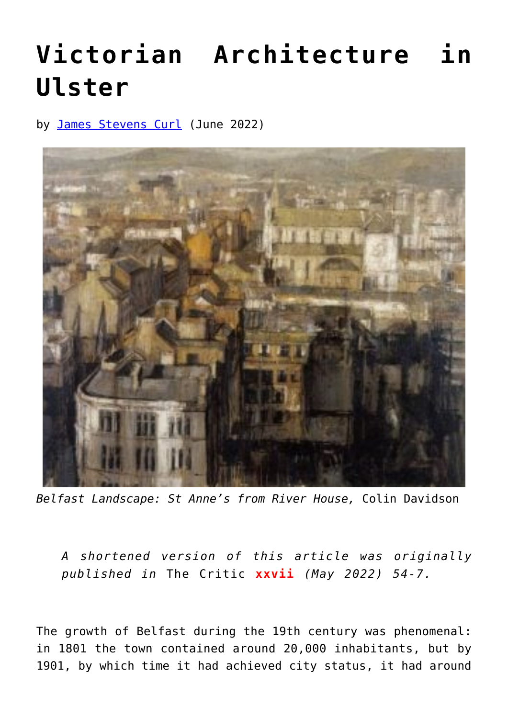## **[Victorian Architecture in](https://www.newenglishreview.org/articles/victorian-architecture-in-ulster/) [Ulster](https://www.newenglishreview.org/articles/victorian-architecture-in-ulster/)**

by [James Stevens Curl](https://www.newenglishreview.org/authors/james-stevens-curl/) (June 2022)



*Belfast Landscape: St Anne's from River House,* Colin Davidson

*A shortened version of this article was originally published in* The Critic **xxvii** *(May 2022) 54-7.*

The growth of Belfast during the 19th century was phenomenal: in 1801 the town contained around 20,000 inhabitants, but by 1901, by which time it had achieved city status, it had around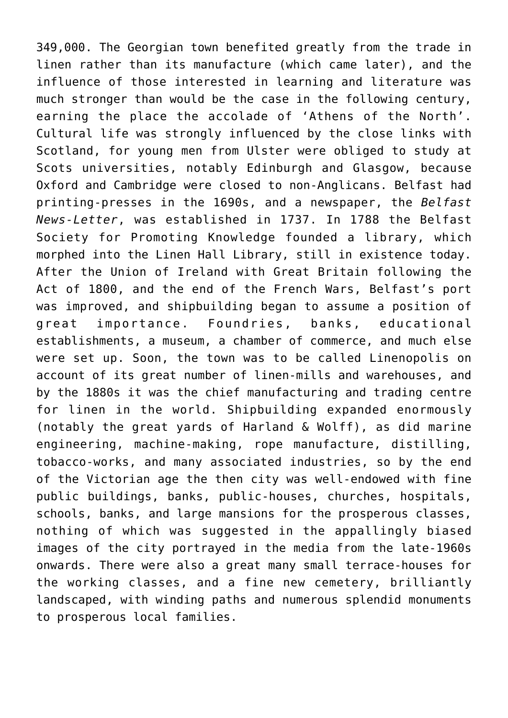349,000. The Georgian town benefited greatly from the trade in linen rather than its manufacture (which came later), and the influence of those interested in learning and literature was much stronger than would be the case in the following century, earning the place the accolade of 'Athens of the North'. Cultural life was strongly influenced by the close links with Scotland, for young men from Ulster were obliged to study at Scots universities, notably Edinburgh and Glasgow, because Oxford and Cambridge were closed to non-Anglicans. Belfast had printing-presses in the 1690s, and a newspaper, the *Belfast News-Letter*, was established in 1737. In 1788 the Belfast Society for Promoting Knowledge founded a library, which morphed into the Linen Hall Library, still in existence today. After the Union of Ireland with Great Britain following the Act of 1800, and the end of the French Wars, Belfast's port was improved, and shipbuilding began to assume a position of great importance. Foundries, banks, educational establishments, a museum, a chamber of commerce, and much else were set up. Soon, the town was to be called Linenopolis on account of its great number of linen-mills and warehouses, and by the 1880s it was the chief manufacturing and trading centre for linen in the world. Shipbuilding expanded enormously (notably the great yards of Harland & Wolff), as did marine engineering, machine-making, rope manufacture, distilling, tobacco-works, and many associated industries, so by the end of the Victorian age the then city was well-endowed with fine public buildings, banks, public-houses, churches, hospitals, schools, banks, and large mansions for the prosperous classes, nothing of which was suggested in the appallingly biased images of the city portrayed in the media from the late-1960s onwards. There were also a great many small terrace-houses for the working classes, and a fine new cemetery, brilliantly landscaped, with winding paths and numerous splendid monuments to prosperous local families.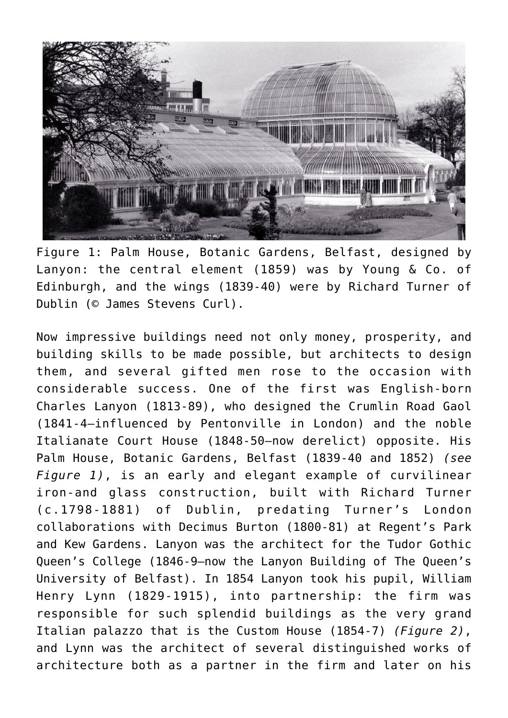

Figure 1: Palm House, Botanic Gardens, Belfast, designed by Lanyon: the central element (1859) was by Young & Co. of Edinburgh, and the wings (1839-40) were by Richard Turner of Dublin (© James Stevens Curl).

Now impressive buildings need not only money, prosperity, and building skills to be made possible, but architects to design them, and several gifted men rose to the occasion with considerable success. One of the first was English-born Charles Lanyon (1813-89), who designed the Crumlin Road Gaol (1841-4—influenced by Pentonville in London) and the noble Italianate Court House (1848-50—now derelict) opposite. His Palm House, Botanic Gardens, Belfast (1839-40 and 1852) *(see Figure 1)*, is an early and elegant example of curvilinear iron-and glass construction, built with Richard Turner (c.1798-1881) of Dublin, predating Turner's London collaborations with Decimus Burton (1800-81) at Regent's Park and Kew Gardens. Lanyon was the architect for the Tudor Gothic Queen's College (1846-9—now the Lanyon Building of The Queen's University of Belfast). In 1854 Lanyon took his pupil, William Henry Lynn (1829-1915), into partnership: the firm was responsible for such splendid buildings as the very grand Italian palazzo that is the Custom House (1854-7) *(Figure 2)*, and Lynn was the architect of several distinguished works of architecture both as a partner in the firm and later on his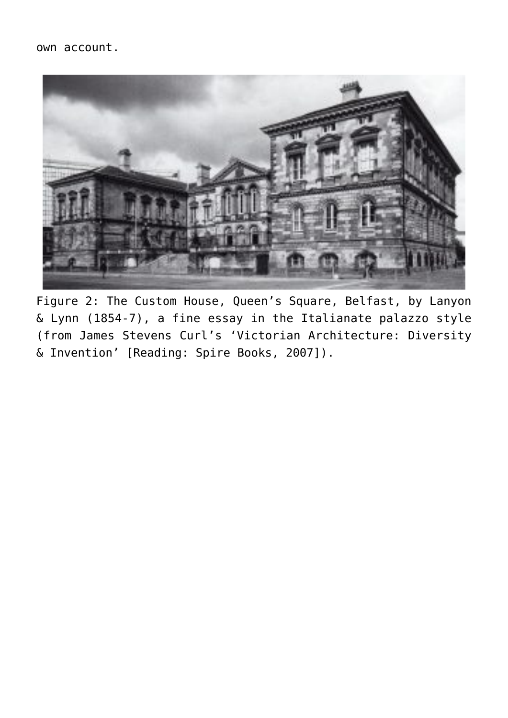

Figure 2: The Custom House, Queen's Square, Belfast, by Lanyon & Lynn (1854-7), a fine essay in the Italianate palazzo style (from James Stevens Curl's 'Victorian Architecture: Diversity & Invention' [Reading: Spire Books, 2007]).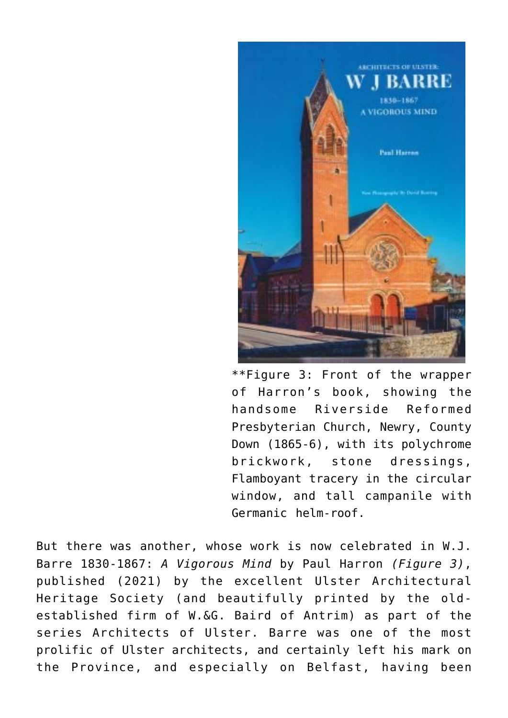

\*\*Figure 3: Front of the wrapper of Harron's book, showing the handsome Riverside Reformed Presbyterian Church, Newry, County Down (1865-6), with its polychrome brickwork, stone dressings, Flamboyant tracery in the circular window, and tall campanile with Germanic helm-roof.

But there was another, whose work is now celebrated in W.J. Barre 1830-1867: *A Vigorous Mind* by Paul Harron *(Figure 3)*, published (2021) by the excellent Ulster Architectural Heritage Society (and beautifully printed by the oldestablished firm of W.&G. Baird of Antrim) as part of the series Architects of Ulster. Barre was one of the most prolific of Ulster architects, and certainly left his mark on the Province, and especially on Belfast, having been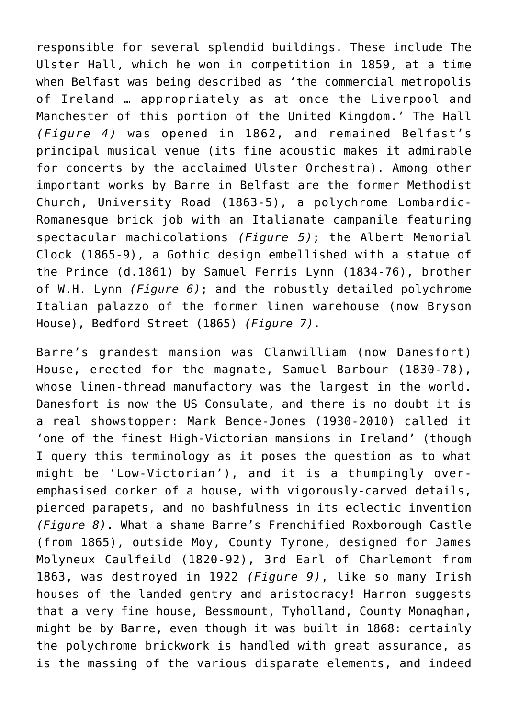responsible for several splendid buildings. These include The Ulster Hall, which he won in competition in 1859, at a time when Belfast was being described as 'the commercial metropolis of Ireland … appropriately as at once the Liverpool and Manchester of this portion of the United Kingdom.' The Hall *(Figure 4)* was opened in 1862, and remained Belfast's principal musical venue (its fine acoustic makes it admirable for concerts by the acclaimed Ulster Orchestra). Among other important works by Barre in Belfast are the former Methodist Church, University Road (1863-5), a polychrome Lombardic-Romanesque brick job with an Italianate campanile featuring spectacular machicolations *(Figure 5)*; the Albert Memorial Clock (1865-9), a Gothic design embellished with a statue of the Prince (d.1861) by Samuel Ferris Lynn (1834-76), brother of W.H. Lynn *(Figure 6)*; and the robustly detailed polychrome Italian palazzo of the former linen warehouse (now Bryson House), Bedford Street (1865) *(Figure 7)*.

Barre's grandest mansion was Clanwilliam (now Danesfort) House, erected for the magnate, Samuel Barbour (1830-78), whose linen-thread manufactory was the largest in the world. Danesfort is now the US Consulate, and there is no doubt it is a real showstopper: Mark Bence-Jones (1930-2010) called it 'one of the finest High-Victorian mansions in Ireland' (though I query this terminology as it poses the question as to what might be 'Low-Victorian'), and it is a thumpingly overemphasised corker of a house, with vigorously-carved details, pierced parapets, and no bashfulness in its eclectic invention *(Figure 8)*. What a shame Barre's Frenchified Roxborough Castle (from 1865), outside Moy, County Tyrone, designed for James Molyneux Caulfeild (1820-92), 3rd Earl of Charlemont from 1863, was destroyed in 1922 *(Figure 9)*, like so many Irish houses of the landed gentry and aristocracy! Harron suggests that a very fine house, Bessmount, Tyholland, County Monaghan, might be by Barre, even though it was built in 1868: certainly the polychrome brickwork is handled with great assurance, as is the massing of the various disparate elements, and indeed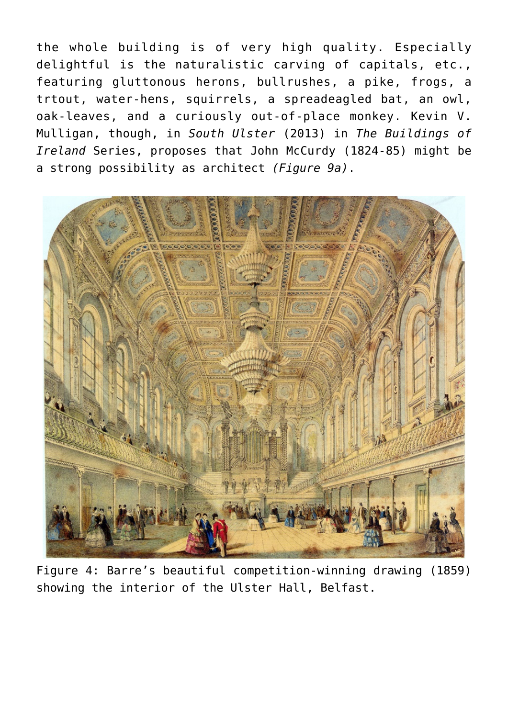the whole building is of very high quality. Especially delightful is the naturalistic carving of capitals, etc., featuring gluttonous herons, bullrushes, a pike, frogs, a trtout, water-hens, squirrels, a spreadeagled bat, an owl, oak-leaves, and a curiously out-of-place monkey. Kevin V. Mulligan, though, in *South Ulster* (2013) in *The Buildings of Ireland* Series, proposes that John McCurdy (1824-85) might be a strong possibility as architect *(Figure 9a)*.



Figure 4: Barre's beautiful competition-winning drawing (1859) showing the interior of the Ulster Hall, Belfast.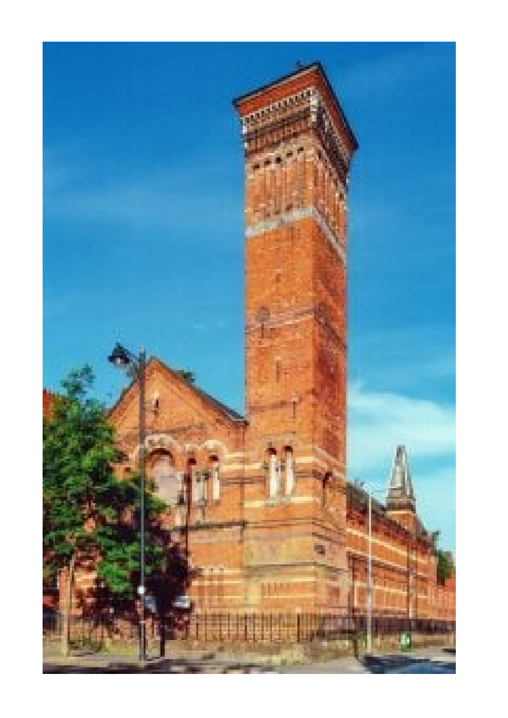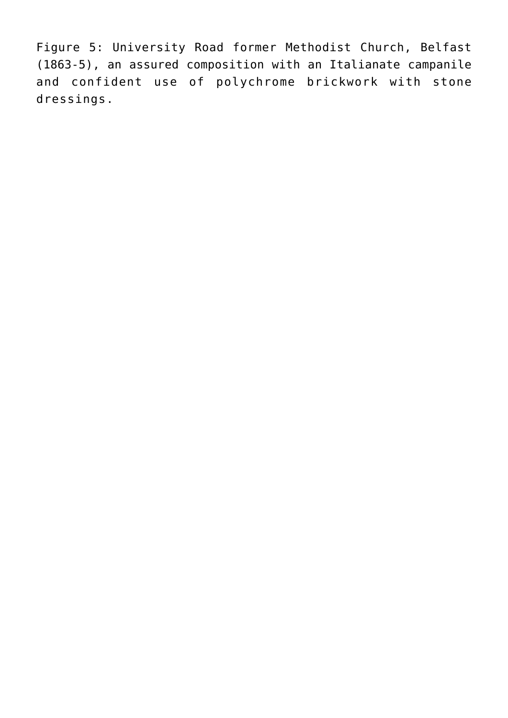Figure 5: University Road former Methodist Church, Belfast (1863-5), an assured composition with an Italianate campanile and confident use of polychrome brickwork with stone dressings.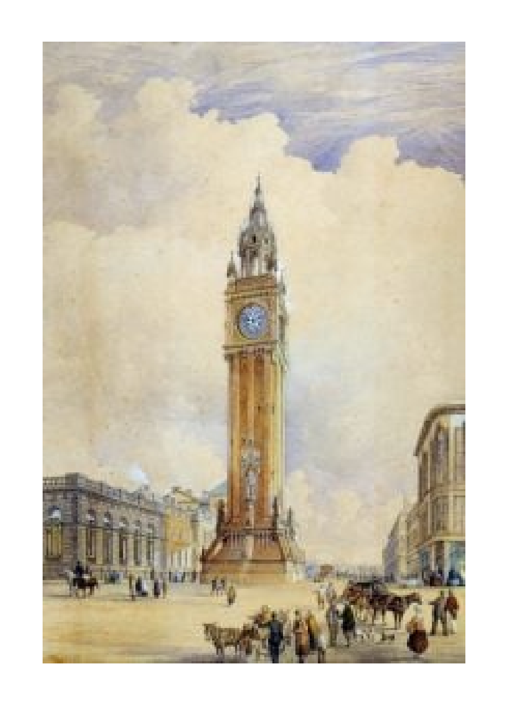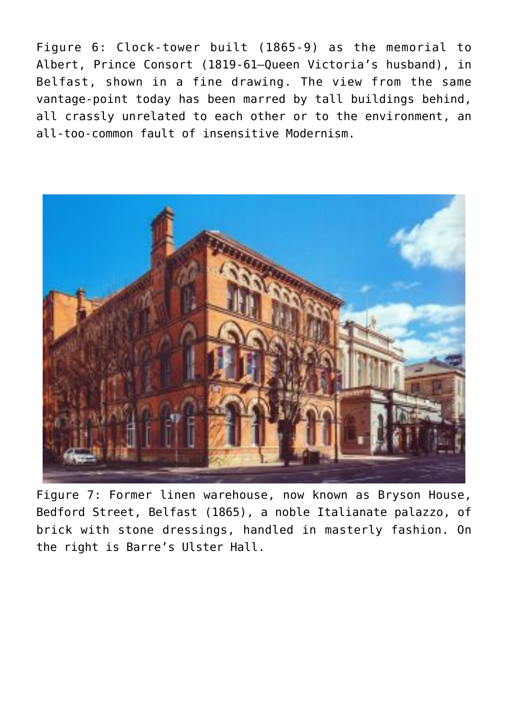Figure 6: Clock-tower built (1865-9) as the memorial to Albert, Prince Consort (1819-61—Queen Victoria's husband), in Belfast, shown in a fine drawing. The view from the same vantage-point today has been marred by tall buildings behind, all crassly unrelated to each other or to the environment, an all-too-common fault of insensitive Modernism.



Figure 7: Former linen warehouse, now known as Bryson House, Bedford Street, Belfast (1865), a noble Italianate palazzo, of brick with stone dressings, handled in masterly fashion. On the right is Barre's Ulster Hall.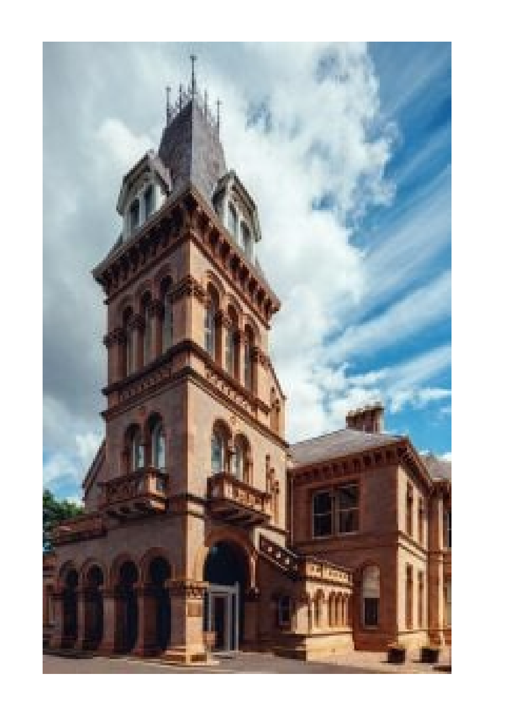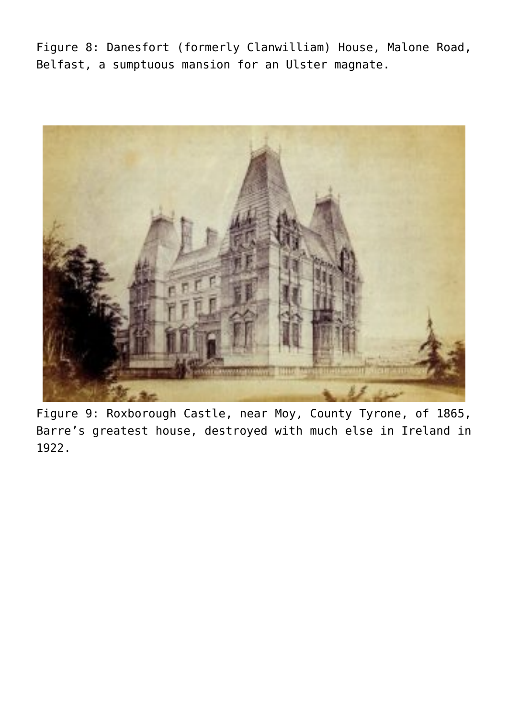Figure 8: Danesfort (formerly Clanwilliam) House, Malone Road, Belfast, a sumptuous mansion for an Ulster magnate.



Figure 9: Roxborough Castle, near Moy, County Tyrone, of 1865, Barre's greatest house, destroyed with much else in Ireland in 1922.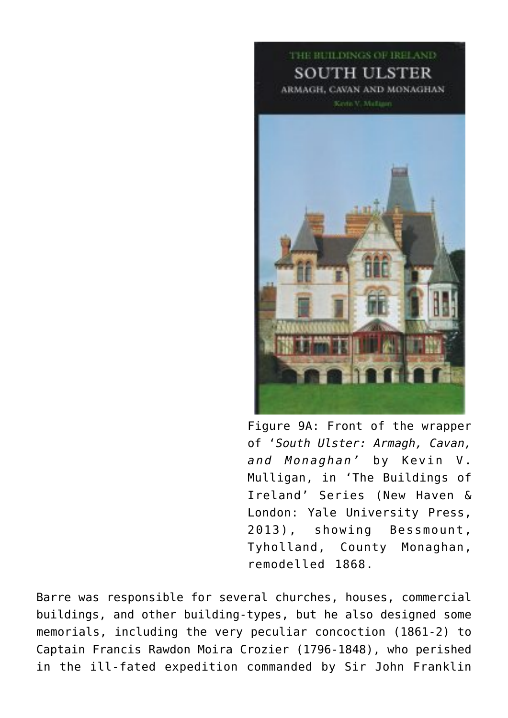THE BUILDINGS OF IRELAND **SOUTH ULSTER** ARMAGH, CAVAN AND MONAGHAN

to U. Madison



Figure 9A: Front of the wrapper of '*South Ulster: Armagh, Cavan, and Monaghan'* by Kevin V. Mulligan, in 'The Buildings of Ireland' Series (New Haven & London: Yale University Press, 2013), showing Bessmount, Tyholland, County Monaghan, remodelled 1868.

Barre was responsible for several churches, houses, commercial buildings, and other building-types, but he also designed some memorials, including the very peculiar concoction (1861-2) to Captain Francis Rawdon Moira Crozier (1796-1848), who perished in the ill-fated expedition commanded by Sir John Franklin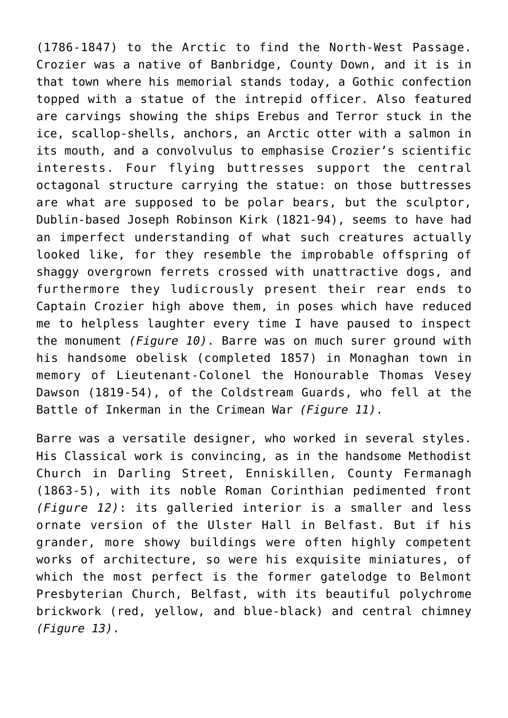(1786-1847) to the Arctic to find the North-West Passage. Crozier was a native of Banbridge, County Down, and it is in that town where his memorial stands today, a Gothic confection topped with a statue of the intrepid officer. Also featured are carvings showing the ships Erebus and Terror stuck in the ice, scallop-shells, anchors, an Arctic otter with a salmon in its mouth, and a convolvulus to emphasise Crozier's scientific interests. Four flying buttresses support the central octagonal structure carrying the statue: on those buttresses are what are supposed to be polar bears, but the sculptor, Dublin-based Joseph Robinson Kirk (1821-94), seems to have had an imperfect understanding of what such creatures actually looked like, for they resemble the improbable offspring of shaggy overgrown ferrets crossed with unattractive dogs, and furthermore they ludicrously present their rear ends to Captain Crozier high above them, in poses which have reduced me to helpless laughter every time I have paused to inspect the monument *(Figure 10)*. Barre was on much surer ground with his handsome obelisk (completed 1857) in Monaghan town in memory of Lieutenant-Colonel the Honourable Thomas Vesey Dawson (1819-54), of the Coldstream Guards, who fell at the Battle of Inkerman in the Crimean War *(Figure 11)*.

Barre was a versatile designer, who worked in several styles. His Classical work is convincing, as in the handsome Methodist Church in Darling Street, Enniskillen, County Fermanagh (1863-5), with its noble Roman Corinthian pedimented front *(Figure 12)*: its galleried interior is a smaller and less ornate version of the Ulster Hall in Belfast. But if his grander, more showy buildings were often highly competent works of architecture, so were his exquisite miniatures, of which the most perfect is the former gatelodge to Belmont Presbyterian Church, Belfast, with its beautiful polychrome brickwork (red, yellow, and blue-black) and central chimney *(Figure 13)*.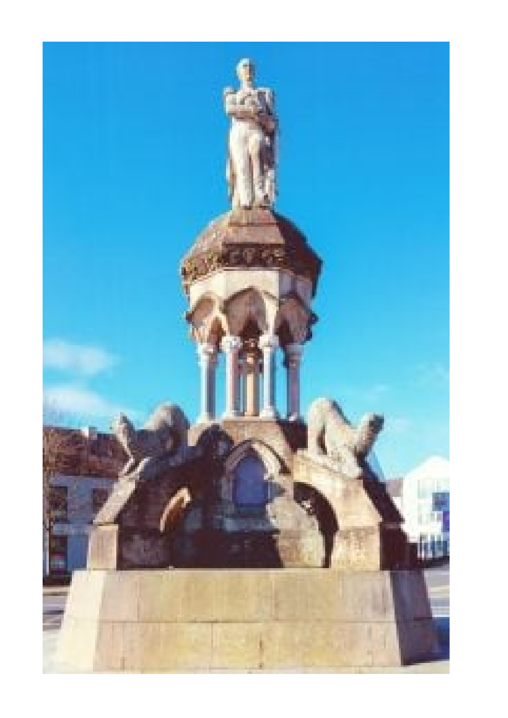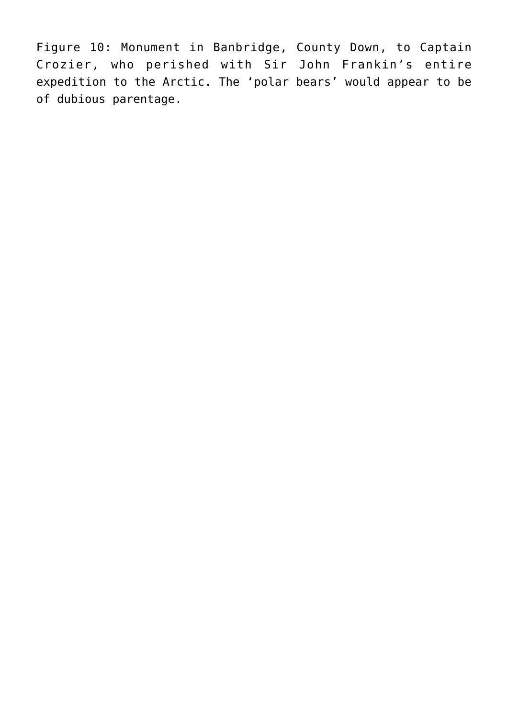Figure 10: Monument in Banbridge, County Down, to Captain Crozier, who perished with Sir John Frankin's entire expedition to the Arctic. The 'polar bears' would appear to be of dubious parentage.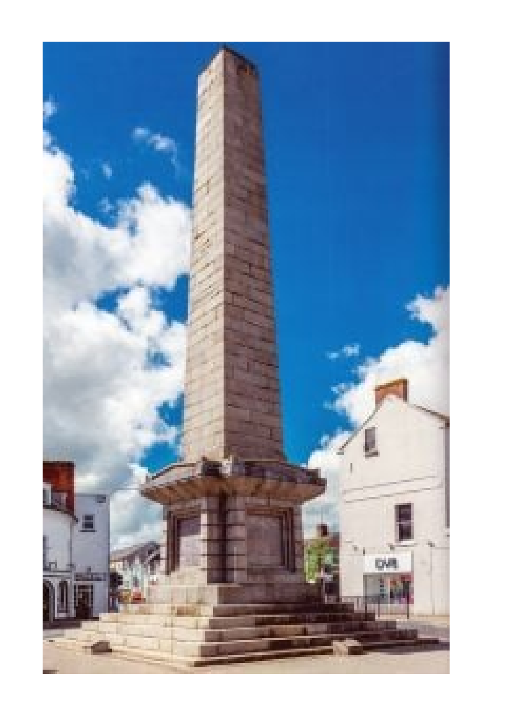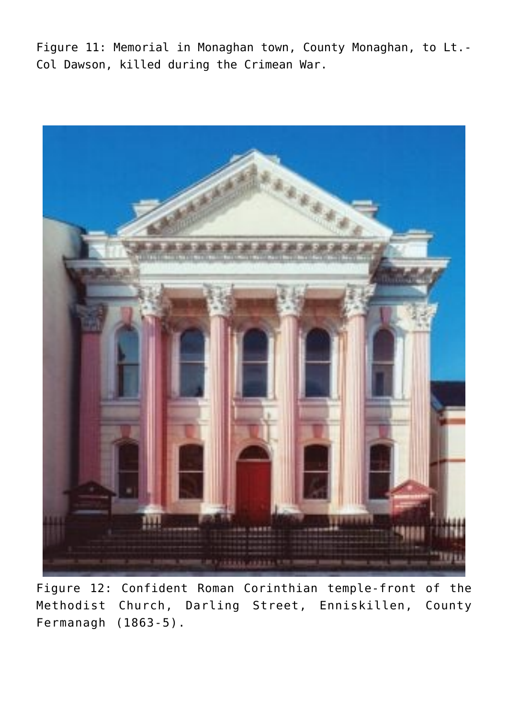Figure 11: Memorial in Monaghan town, County Monaghan, to Lt.- Col Dawson, killed during the Crimean War.



Figure 12: Confident Roman Corinthian temple-front of the Methodist Church, Darling Street, Enniskillen, County Fermanagh (1863-5).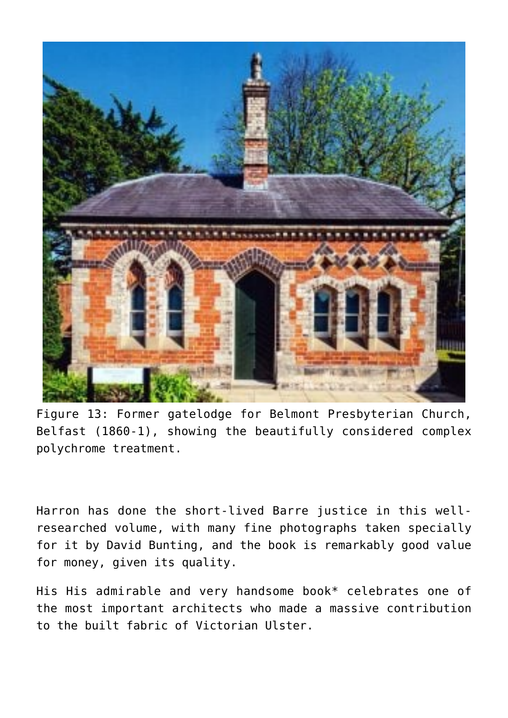

Figure 13: Former gatelodge for Belmont Presbyterian Church, Belfast (1860-1), showing the beautifully considered complex polychrome treatment.

Harron has done the short-lived Barre justice in this wellresearched volume, with many fine photographs taken specially for it by David Bunting, and the book is remarkably good value for money, given its quality.

His His admirable and very handsome book\* celebrates one of the most important architects who made a massive contribution to the built fabric of Victorian Ulster.